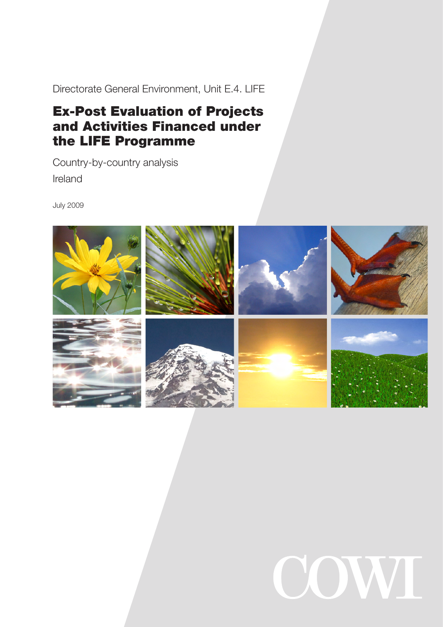Directorate General Environment, Unit E.4. LIFE

# Ex-Post Evaluation of Projects and Activities Financed under the LIFE Programme

Country-by-country analysis Ireland

July 2009



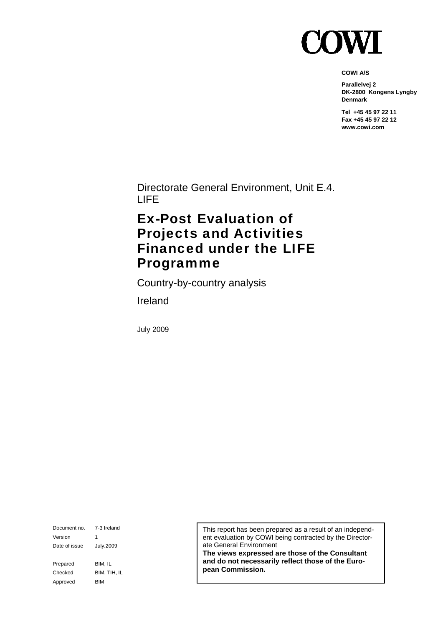

**COWI A/S** 

**Parallelvej 2 DK-2800 Kongens Lyngby Denmark** 

**Tel +45 45 97 22 11 Fax +45 45 97 22 12 www.cowi.com** 

Directorate General Environment, Unit E.4. LIFE

# Ex-Post Evaluation of Projects and Activities Financed under the LIFE Programme

Country-by-country analysis

Ireland

July 2009

Document no. 7-3 Ireland Version 1 Date of issue July.2009 Prepared BIM, IL Checked BIM, TIH, IL Approved BIM

This report has been prepared as a result of an independent evaluation by COWI being contracted by the Directorate General Environment

**The views expressed are those of the Consultant and do not necessarily reflect those of the European Commission.**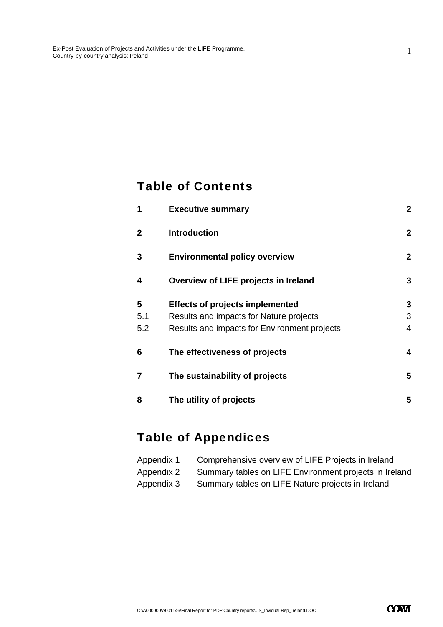### Table of Contents

| 1              | <b>Executive summary</b>                     | $\overline{2}$ |
|----------------|----------------------------------------------|----------------|
| $\mathbf{2}$   | <b>Introduction</b>                          | $\overline{2}$ |
| 3              | <b>Environmental policy overview</b>         | $\mathbf{2}$   |
| 4              | Overview of LIFE projects in Ireland         | 3              |
| 5              | <b>Effects of projects implemented</b>       | 3              |
| 5.1            | Results and impacts for Nature projects      | 3              |
| 5.2            | Results and impacts for Environment projects | 4              |
| 6              | The effectiveness of projects                | 4              |
| $\overline{7}$ | The sustainability of projects               | 5              |
| 8              | The utility of projects                      | 5              |

# Table of Appendices

| Appendix 1 | Comprehensive overview of LIFE Projects in Ireland     |
|------------|--------------------------------------------------------|
| Appendix 2 | Summary tables on LIFE Environment projects in Ireland |
| Appendix 3 | Summary tables on LIFE Nature projects in Ireland      |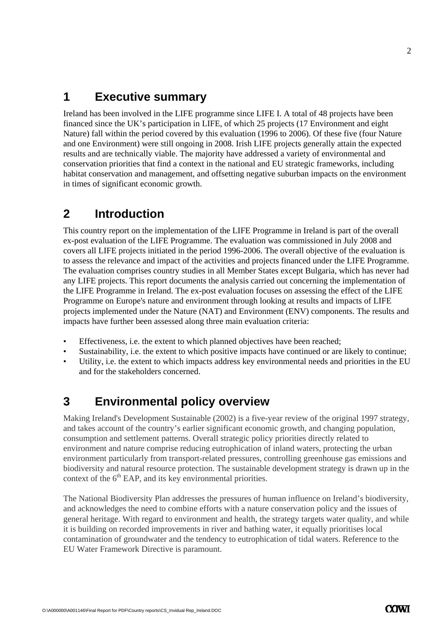### **1 Executive summary**

Ireland has been involved in the LIFE programme since LIFE I. A total of 48 projects have been financed since the UK's participation in LIFE, of which 25 projects (17 Environment and eight Nature) fall within the period covered by this evaluation (1996 to 2006). Of these five (four Nature and one Environment) were still ongoing in 2008. Irish LIFE projects generally attain the expected results and are technically viable. The majority have addressed a variety of environmental and conservation priorities that find a context in the national and EU strategic frameworks, including habitat conservation and management, and offsetting negative suburban impacts on the environment in times of significant economic growth.

### **2 Introduction**

This country report on the implementation of the LIFE Programme in Ireland is part of the overall ex-post evaluation of the LIFE Programme. The evaluation was commissioned in July 2008 and covers all LIFE projects initiated in the period 1996-2006. The overall objective of the evaluation is to assess the relevance and impact of the activities and projects financed under the LIFE Programme. The evaluation comprises country studies in all Member States except Bulgaria, which has never had any LIFE projects. This report documents the analysis carried out concerning the implementation of the LIFE Programme in Ireland. The ex-post evaluation focuses on assessing the effect of the LIFE Programme on Europe's nature and environment through looking at results and impacts of LIFE projects implemented under the Nature (NAT) and Environment (ENV) components. The results and impacts have further been assessed along three main evaluation criteria:

- Effectiveness, i.e. the extent to which planned objectives have been reached;
- Sustainability, i.e. the extent to which positive impacts have continued or are likely to continue;
- Utility, i.e. the extent to which impacts address key environmental needs and priorities in the EU and for the stakeholders concerned.

### **3 Environmental policy overview**

Making Ireland's Development Sustainable (2002) is a five-year review of the original 1997 strategy, and takes account of the country's earlier significant economic growth, and changing population, consumption and settlement patterns. Overall strategic policy priorities directly related to environment and nature comprise reducing eutrophication of inland waters, protecting the urban environment particularly from transport-related pressures, controlling greenhouse gas emissions and biodiversity and natural resource protection. The sustainable development strategy is drawn up in the context of the  $6<sup>th</sup>$  EAP, and its key environmental priorities.

The National Biodiversity Plan addresses the pressures of human influence on Ireland's biodiversity, and acknowledges the need to combine efforts with a nature conservation policy and the issues of general heritage. With regard to environment and health, the strategy targets water quality, and while it is building on recorded improvements in river and bathing water, it equally prioritises local contamination of groundwater and the tendency to eutrophication of tidal waters. Reference to the EU Water Framework Directive is paramount.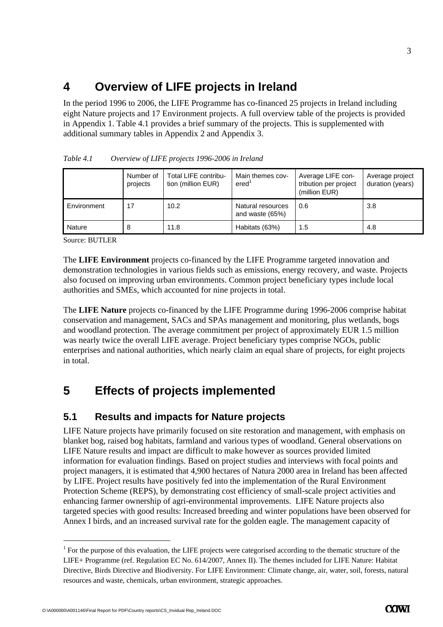## **4 Overview of LIFE projects in Ireland**

In the period 1996 to 2006, the LIFE Programme has co-financed 25 projects in Ireland including eight Nature projects and 17 Environment projects. A full overview table of the projects is provided in Appendix 1. Table 4.1 provides a brief summary of the projects. This is supplemented with additional summary tables in Appendix 2 and Appendix 3.

|             | Number of<br>projects | Total LIFE contribu-<br>tion (million EUR) | Main themes cov-<br>ered'            | Average LIFE con-<br>tribution per project<br>(million EUR) | Average project<br>duration (years) |
|-------------|-----------------------|--------------------------------------------|--------------------------------------|-------------------------------------------------------------|-------------------------------------|
| Environment | 17                    | 10.2                                       | Natural resources<br>and waste (65%) | 0.6                                                         | 3.8                                 |
| Nature      |                       | 11.8                                       | Habitats (63%)                       | 1.5                                                         | 4.8                                 |

*Table 4.1 Overview of LIFE projects 1996-2006 in Ireland* 

Source: BUTLER

The **LIFE Environment** projects co-financed by the LIFE Programme targeted innovation and demonstration technologies in various fields such as emissions, energy recovery, and waste. Projects also focused on improving urban environments. Common project beneficiary types include local authorities and SMEs, which accounted for nine projects in total.

The **LIFE Nature** projects co-financed by the LIFE Programme during 1996-2006 comprise habitat conservation and management, SACs and SPAs management and monitoring, plus wetlands, bogs and woodland protection. The average commitment per project of approximately EUR 1.5 million was nearly twice the overall LIFE average. Project beneficiary types comprise NGOs, public enterprises and national authorities, which nearly claim an equal share of projects, for eight projects in total.

## **5 Effects of projects implemented**

#### **5.1 Results and impacts for Nature projects**

LIFE Nature projects have primarily focused on site restoration and management, with emphasis on blanket bog, raised bog habitats, farmland and various types of woodland. General observations on LIFE Nature results and impact are difficult to make however as sources provided limited information for evaluation findings. Based on project studies and interviews with focal points and project managers, it is estimated that 4,900 hectares of Natura 2000 area in Ireland has been affected by LIFE. Project results have positively fed into the implementation of the Rural Environment Protection Scheme (REPS), by demonstrating cost efficiency of small-scale project activities and enhancing farmer ownership of agri-environmental improvements. LIFE Nature projects also targeted species with good results: Increased breeding and winter populations have been observed for Annex I birds, and an increased survival rate for the golden eagle. The management capacity of

-

3

 $1$  For the purpose of this evaluation, the LIFE projects were categorised according to the thematic structure of the LIFE+ Programme (ref. Regulation EC No. 614/2007, Annex II). The themes included for LIFE Nature: Habitat Directive, Birds Directive and Biodiversity. For LIFE Environment: Climate change, air, water, soil, forests, natural resources and waste, chemicals, urban environment, strategic approaches.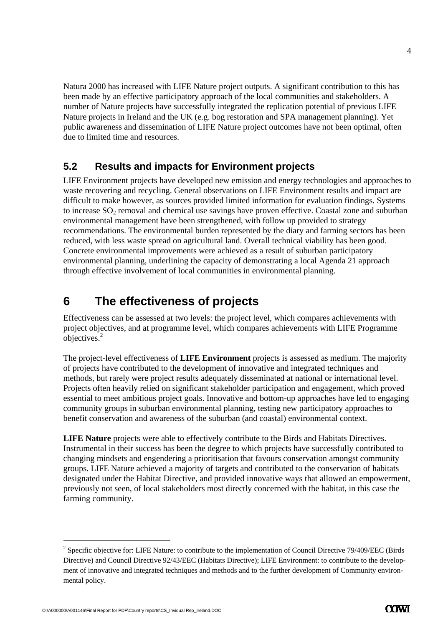Natura 2000 has increased with LIFE Nature project outputs. A significant contribution to this has been made by an effective participatory approach of the local communities and stakeholders. A number of Nature projects have successfully integrated the replication potential of previous LIFE Nature projects in Ireland and the UK (e.g. bog restoration and SPA management planning). Yet public awareness and dissemination of LIFE Nature project outcomes have not been optimal, often due to limited time and resources.

#### **5.2 Results and impacts for Environment projects**

LIFE Environment projects have developed new emission and energy technologies and approaches to waste recovering and recycling. General observations on LIFE Environment results and impact are difficult to make however, as sources provided limited information for evaluation findings. Systems to increase  $SO<sub>2</sub>$  removal and chemical use savings have proven effective. Coastal zone and suburban environmental management have been strengthened, with follow up provided to strategy recommendations. The environmental burden represented by the diary and farming sectors has been reduced, with less waste spread on agricultural land. Overall technical viability has been good. Concrete environmental improvements were achieved as a result of suburban participatory environmental planning, underlining the capacity of demonstrating a local Agenda 21 approach through effective involvement of local communities in environmental planning.

## **6 The effectiveness of projects**

Effectiveness can be assessed at two levels: the project level, which compares achievements with project objectives, and at programme level, which compares achievements with LIFE Programme  $objectives.<sup>2</sup>$ 

The project-level effectiveness of **LIFE Environment** projects is assessed as medium. The majority of projects have contributed to the development of innovative and integrated techniques and methods, but rarely were project results adequately disseminated at national or international level. Projects often heavily relied on significant stakeholder participation and engagement, which proved essential to meet ambitious project goals. Innovative and bottom-up approaches have led to engaging community groups in suburban environmental planning, testing new participatory approaches to benefit conservation and awareness of the suburban (and coastal) environmental context.

**LIFE Nature** projects were able to effectively contribute to the Birds and Habitats Directives. Instrumental in their success has been the degree to which projects have successfully contributed to changing mindsets and engendering a prioritisation that favours conservation amongst community groups. LIFE Nature achieved a majority of targets and contributed to the conservation of habitats designated under the Habitat Directive, and provided innovative ways that allowed an empowerment, previously not seen, of local stakeholders most directly concerned with the habitat, in this case the farming community.

-

4

<sup>&</sup>lt;sup>2</sup> Specific objective for: LIFE Nature: to contribute to the implementation of Council Directive 79/409/EEC (Birds Directive) and Council Directive 92/43/EEC (Habitats Directive); LIFE Environment: to contribute to the development of innovative and integrated techniques and methods and to the further development of Community environmental policy.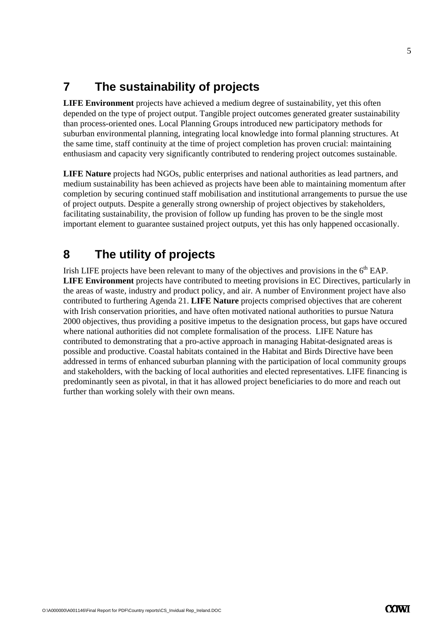## **7 The sustainability of projects**

**LIFE Environment** projects have achieved a medium degree of sustainability, yet this often depended on the type of project output. Tangible project outcomes generated greater sustainability than process-oriented ones. Local Planning Groups introduced new participatory methods for suburban environmental planning, integrating local knowledge into formal planning structures. At the same time, staff continuity at the time of project completion has proven crucial: maintaining enthusiasm and capacity very significantly contributed to rendering project outcomes sustainable.

**LIFE Nature** projects had NGOs, public enterprises and national authorities as lead partners, and medium sustainability has been achieved as projects have been able to maintaining momentum after completion by securing continued staff mobilisation and institutional arrangements to pursue the use of project outputs. Despite a generally strong ownership of project objectives by stakeholders, facilitating sustainability, the provision of follow up funding has proven to be the single most important element to guarantee sustained project outputs, yet this has only happened occasionally.

## **8 The utility of projects**

Irish LIFE projects have been relevant to many of the objectives and provisions in the  $6<sup>th</sup> EAP$ . **LIFE Environment** projects have contributed to meeting provisions in EC Directives, particularly in the areas of waste, industry and product policy, and air. A number of Environment project have also contributed to furthering Agenda 21. **LIFE Nature** projects comprised objectives that are coherent with Irish conservation priorities, and have often motivated national authorities to pursue Natura 2000 objectives, thus providing a positive impetus to the designation process, but gaps have occured where national authorities did not complete formalisation of the process. LIFE Nature has contributed to demonstrating that a pro-active approach in managing Habitat-designated areas is possible and productive. Coastal habitats contained in the Habitat and Birds Directive have been addressed in terms of enhanced suburban planning with the participation of local community groups and stakeholders, with the backing of local authorities and elected representatives. LIFE financing is predominantly seen as pivotal, in that it has allowed project beneficiaries to do more and reach out further than working solely with their own means.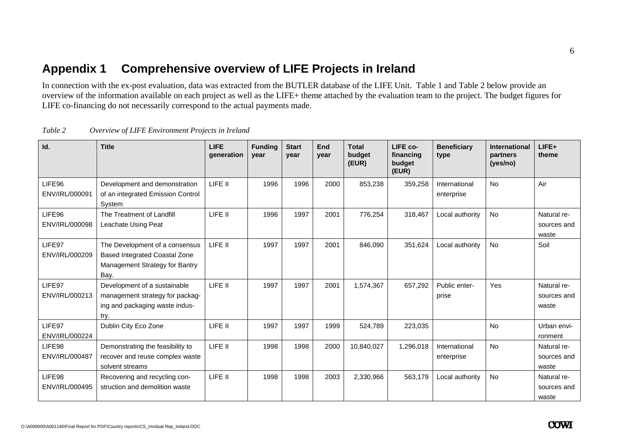### **Appendix 1 Comprehensive overview of LIFE Projects in Ireland**

In connection with the ex-post evaluation, data was extracted from the BUTLER database of the LIFE Unit. Table 1 and Table 2 below provide an overview of the information available on each project as well as the LIFE+ theme attached by the evaluation team to the project. The budget figures for LIFE co-financing do not necessarily correspond to the actual payments made.

| Id.                      | <b>Title</b>                                                                                                     | <b>LIFE</b><br>generation | <b>Funding</b><br>year | <b>Start</b><br>vear | End<br>year | <b>Total</b><br>budget<br>(EUR) | LIFE co-<br>financing<br>budget<br>(EUR) | <b>Beneficiary</b><br>type  | <b>International</b><br>partners<br>(yes/no) | LIFE+<br>theme                      |
|--------------------------|------------------------------------------------------------------------------------------------------------------|---------------------------|------------------------|----------------------|-------------|---------------------------------|------------------------------------------|-----------------------------|----------------------------------------------|-------------------------------------|
| LIFE96<br>ENV/IRL/000091 | Development and demonstration<br>of an integrated Emission Control<br>System                                     | LIFE II                   | 1996                   | 1996                 | 2000        | 853,238                         | 359,258                                  | International<br>enterprise | No                                           | Air                                 |
| LIFE96<br>ENV/IRL/000098 | The Treatment of Landfill<br>Leachate Using Peat                                                                 | LIFE II                   | 1996                   | 1997                 | 2001        | 776,254                         | 318,467                                  | Local authority             | No                                           | Natural re-<br>sources and<br>waste |
| LIFE97<br>ENV/IRL/000209 | The Development of a consensus<br><b>Based Integrated Coastal Zone</b><br>Management Strategy for Bantry<br>Bay. | LIFE II                   | 1997                   | 1997                 | 2001        | 846,090                         | 351,624                                  | Local authority             | No                                           | Soil                                |
| LIFE97<br>ENV/IRL/000213 | Development of a sustainable<br>management strategy for packag-<br>ing and packaging waste indus-<br>try.        | LIFE II                   | 1997                   | 1997                 | 2001        | 1,574,367                       | 657,292                                  | Public enter-<br>prise      | <b>Yes</b>                                   | Natural re-<br>sources and<br>waste |
| LIFE97<br>ENV/IRL/000224 | Dublin City Eco Zone                                                                                             | LIFE II                   | 1997                   | 1997                 | 1999        | 524,789                         | 223,035                                  |                             | <b>No</b>                                    | Urban envi-<br>ronment              |
| LIFE98<br>ENV/IRL/000487 | Demonstrating the feasibility to<br>recover and reuse complex waste<br>solvent streams                           | LIFE II                   | 1998                   | 1998                 | 2000        | 10,840,027                      | 1,296,018                                | International<br>enterprise | No                                           | Natural re-<br>sources and<br>waste |
| LIFE98<br>ENV/IRL/000495 | Recovering and recycling con-<br>struction and demolition waste                                                  | LIFE II                   | 1998                   | 1998                 | 2003        | 2,330,966                       | 563,179                                  | Local authority             | No                                           | Natural re-<br>sources and<br>waste |

*Table 2 Overview of LIFE Environment Projects in Ireland*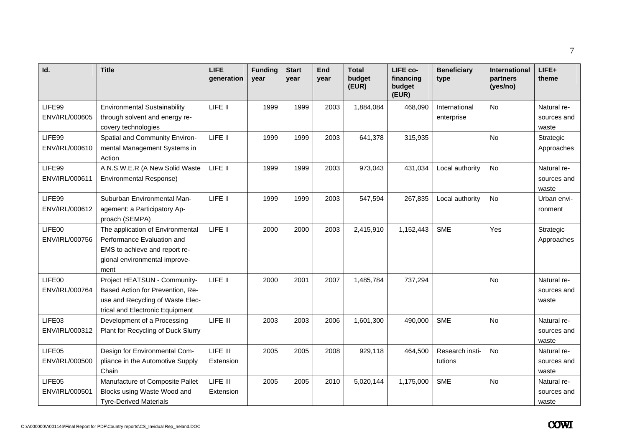| Id.                      | <b>Title</b>                                                                                                                             | <b>LIFE</b><br>generation | <b>Funding</b><br>year | <b>Start</b><br>year | End<br>year | <b>Total</b><br>budget<br>(EUR) | LIFE co-<br>financing<br>budget<br>(EUR) | <b>Beneficiary</b><br>type  | International<br>partners<br>(yes/no) | LIFE+<br>theme                      |
|--------------------------|------------------------------------------------------------------------------------------------------------------------------------------|---------------------------|------------------------|----------------------|-------------|---------------------------------|------------------------------------------|-----------------------------|---------------------------------------|-------------------------------------|
| LIFE99<br>ENV/IRL/000605 | <b>Environmental Sustainability</b><br>through solvent and energy re-<br>covery technologies                                             | LIFE II                   | 1999                   | 1999                 | 2003        | 1,884,084                       | 468,090                                  | International<br>enterprise | No                                    | Natural re-<br>sources and<br>waste |
| LIFE99<br>ENV/IRL/000610 | Spatial and Community Environ-<br>mental Management Systems in<br>Action                                                                 | LIFE II                   | 1999                   | 1999                 | 2003        | 641,378                         | 315,935                                  |                             | <b>No</b>                             | Strategic<br>Approaches             |
| LIFE99<br>ENV/IRL/000611 | A.N.S.W.E.R (A New Solid Waste<br><b>Environmental Response)</b>                                                                         | LIFE II                   | 1999                   | 1999                 | 2003        | 973,043                         | 431,034                                  | Local authority             | No                                    | Natural re-<br>sources and<br>waste |
| LIFE99<br>ENV/IRL/000612 | Suburban Environmental Man-<br>agement: a Participatory Ap-<br>proach (SEMPA)                                                            | LIFE II                   | 1999                   | 1999                 | 2003        | 547,594                         | 267,835                                  | Local authority             | <b>No</b>                             | Urban envi-<br>ronment              |
| LIFE00<br>ENV/IRL/000756 | The application of Environmental<br>Performance Evaluation and<br>EMS to achieve and report re-<br>gional environmental improve-<br>ment | LIFE II                   | 2000                   | 2000                 | 2003        | 2,415,910                       | 1,152,443                                | <b>SME</b>                  | Yes                                   | Strategic<br>Approaches             |
| LIFE00<br>ENV/IRL/000764 | Project HEATSUN - Community-<br>Based Action for Prevention, Re-<br>use and Recycling of Waste Elec-<br>trical and Electronic Equipment  | LIFE II                   | 2000                   | 2001                 | 2007        | 1,485,784                       | 737,294                                  |                             | <b>No</b>                             | Natural re-<br>sources and<br>waste |
| LIFE03<br>ENV/IRL/000312 | Development of a Processing<br>Plant for Recycling of Duck Slurry                                                                        | LIFE III                  | 2003                   | 2003                 | 2006        | 1,601,300                       | 490,000                                  | <b>SME</b>                  | No                                    | Natural re-<br>sources and<br>waste |
| LIFE05<br>ENV/IRL/000500 | Design for Environmental Com-<br>pliance in the Automotive Supply<br>Chain                                                               | LIFE III<br>Extension     | 2005                   | 2005                 | 2008        | 929,118                         | 464,500                                  | Research insti-<br>tutions  | <b>No</b>                             | Natural re-<br>sources and<br>waste |
| LIFE05<br>ENV/IRL/000501 | Manufacture of Composite Pallet<br>Blocks using Waste Wood and<br><b>Tyre-Derived Materials</b>                                          | LIFE III<br>Extension     | 2005                   | 2005                 | 2010        | 5,020,144                       | 1,175,000                                | <b>SME</b>                  | No                                    | Natural re-<br>sources and<br>waste |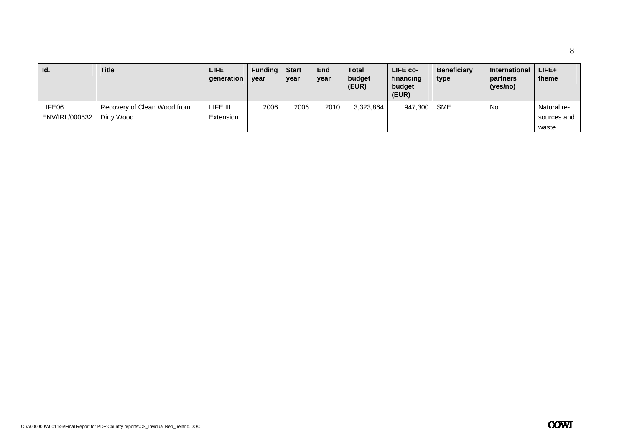| Id.                      | <b>Title</b>                              | <b>LIFE</b><br>generation | <b>Funding</b><br>year | <b>Start</b><br>year | <b>End</b><br>year | <b>Total</b><br>budget<br>(EUR) | LIFE co-<br>financing<br>budget<br>(EUR) | <b>Beneficiary</b><br>type | <b>International</b><br>partners<br>(yes/no) | LIFE+<br>theme                      |
|--------------------------|-------------------------------------------|---------------------------|------------------------|----------------------|--------------------|---------------------------------|------------------------------------------|----------------------------|----------------------------------------------|-------------------------------------|
| LIFE06<br>ENV/IRL/000532 | Recovery of Clean Wood from<br>Dirty Wood | LIFE III<br>Extension     | 2006                   | 2006                 | 2010               | 3,323,864                       | 947,300                                  | <b>SME</b>                 | No                                           | Natural re-<br>sources and<br>waste |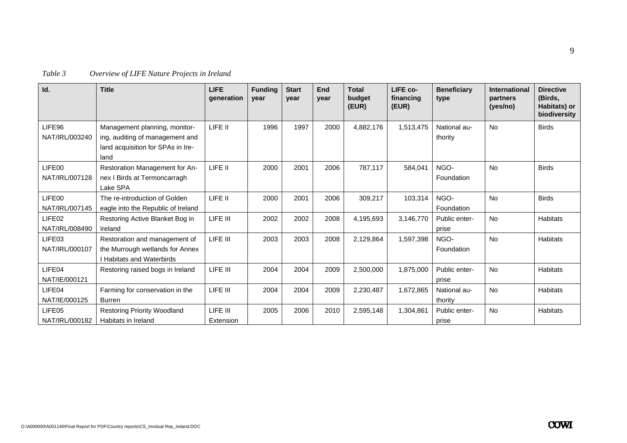| Table 3 |  | Overview of LIFE Nature Projects in Ireland |
|---------|--|---------------------------------------------|
|         |  |                                             |

| Id.                                  | <b>Title</b>                                                                                                  | <b>LIFE</b><br>qeneration | <b>Funding</b><br>year | <b>Start</b><br>year | End<br>year | <b>Total</b><br>budget<br>(EUR) | LIFE co-<br>financing<br>(EUR) | <b>Beneficiary</b><br>type | <b>International</b><br>partners<br>(yes/no) | <b>Directive</b><br>(Birds.<br>Habitats) or<br>biodiversity |
|--------------------------------------|---------------------------------------------------------------------------------------------------------------|---------------------------|------------------------|----------------------|-------------|---------------------------------|--------------------------------|----------------------------|----------------------------------------------|-------------------------------------------------------------|
| LIFE96<br>NAT/IRL/003240             | Management planning, monitor-<br>ing, auditing of management and<br>land acquisition for SPAs in Ire-<br>land | LIFE II                   | 1996                   | 1997                 | 2000        | 4,882,176                       | 1,513,475                      | National au-<br>thority    | <b>No</b>                                    | <b>Birds</b>                                                |
| LIFE00<br>NAT/IRL/007128             | Restoration Management for An-<br>nex I Birds at Termoncarragh<br>Lake SPA                                    | LIFE II                   | 2000                   | 2001                 | 2006        | 787.117                         | 584,041                        | NGO-<br>Foundation         | <b>No</b>                                    | <b>Birds</b>                                                |
| LIFE00<br>NAT/IRL/007145             | The re-introduction of Golden<br>eagle into the Republic of Ireland                                           | LIFE II                   | 2000                   | 2001                 | 2006        | 309,217                         | 103,314                        | NGO-<br>Foundation         | <b>No</b>                                    | <b>Birds</b>                                                |
| LIFE <sub>02</sub><br>NAT/IRL/008490 | Restoring Active Blanket Bog in<br>Ireland                                                                    | LIFE III                  | 2002                   | 2002                 | 2008        | 4,195,693                       | 3,146,770                      | Public enter-<br>prise     | <b>No</b>                                    | <b>Habitats</b>                                             |
| LIFE03<br>NAT/IRL/000107             | Restoration and management of<br>the Murrough wetlands for Annex<br><b>I Habitats and Waterbirds</b>          | LIFE III                  | 2003                   | 2003                 | 2008        | 2,129,864                       | 1,597,398                      | NGO-<br>Foundation         | <b>No</b>                                    | <b>Habitats</b>                                             |
| LIFE04<br>NAT/IE/000121              | Restoring raised bogs in Ireland                                                                              | LIFE III                  | 2004                   | 2004                 | 2009        | 2,500,000                       | 1,875,000                      | Public enter-<br>prise     | <b>No</b>                                    | <b>Habitats</b>                                             |
| LIFE04<br>NAT/IE/000125              | Farming for conservation in the<br><b>Burren</b>                                                              | LIFE III                  | 2004                   | 2004                 | 2009        | 2,230,487                       | 1,672,865                      | National au-<br>thority    | <b>No</b>                                    | <b>Habitats</b>                                             |
| LIFE05<br>NAT/IRL/000182             | <b>Restoring Priority Woodland</b><br>Habitats in Ireland                                                     | LIFE III<br>Extension     | 2005                   | 2006                 | 2010        | 2,595,148                       | 1,304,861                      | Public enter-<br>prise     | <b>No</b>                                    | <b>Habitats</b>                                             |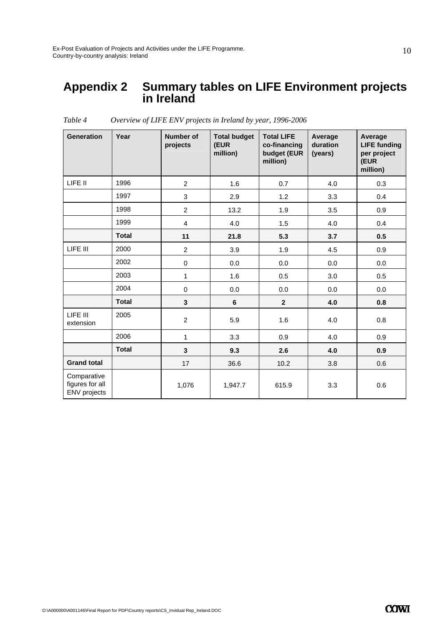#### **Appendix 2 Summary tables on LIFE Environment projects in Ireland**

| <b>Generation</b>                              | Year         | <b>Number of</b><br>projects | <b>Total budget</b><br>(EUR<br>million) | <b>Total LIFE</b><br>co-financing<br>budget (EUR<br>million) | Average<br>duration<br>(years) | Average<br><b>LIFE funding</b><br>per project<br>(EUR<br>million) |
|------------------------------------------------|--------------|------------------------------|-----------------------------------------|--------------------------------------------------------------|--------------------------------|-------------------------------------------------------------------|
| LIFE II                                        | 1996         | $\overline{2}$               | 1.6                                     | 0.7                                                          | 4.0                            | 0.3                                                               |
|                                                | 1997         | 3                            | 2.9                                     | 1.2                                                          | 3.3                            | 0.4                                                               |
|                                                | 1998         | $\overline{c}$               | 13.2                                    | 1.9                                                          | 3.5                            | 0.9                                                               |
|                                                | 1999         | $\overline{4}$               | 4.0                                     | 1.5                                                          | 4.0                            | 0.4                                                               |
|                                                | <b>Total</b> | 11                           | 21.8                                    | 5.3                                                          | 3.7                            | 0.5                                                               |
| LIFE III                                       | 2000         | $\overline{c}$               | 3.9                                     | 1.9                                                          | 4.5                            | 0.9                                                               |
|                                                | 2002         | $\pmb{0}$                    | 0.0                                     | 0.0                                                          | 0.0                            | 0.0                                                               |
|                                                | 2003         | $\mathbf{1}$                 | 1.6                                     | 0.5                                                          | 3.0                            | 0.5                                                               |
|                                                | 2004         | $\mathbf 0$                  | 0.0                                     | 0.0                                                          | 0.0                            | 0.0                                                               |
|                                                | <b>Total</b> | $\mathbf{3}$                 | 6                                       | $\mathbf{2}$                                                 | 4.0                            | 0.8                                                               |
| LIFE III<br>extension                          | 2005         | $\overline{c}$               | 5.9                                     | 1.6                                                          | 4.0                            | 0.8                                                               |
|                                                | 2006         | $\mathbf{1}$                 | 3.3                                     | 0.9                                                          | 4.0                            | 0.9                                                               |
|                                                | <b>Total</b> | 3                            | 9.3                                     | 2.6                                                          | 4.0                            | 0.9                                                               |
| <b>Grand total</b>                             |              | 17                           | 36.6                                    | 10.2                                                         | 3.8                            | 0.6                                                               |
| Comparative<br>figures for all<br>ENV projects |              | 1,076                        | 1,947.7                                 | 615.9                                                        | 3.3                            | 0.6                                                               |

*Table 4 Overview of LIFE ENV projects in Ireland by year, 1996-2006*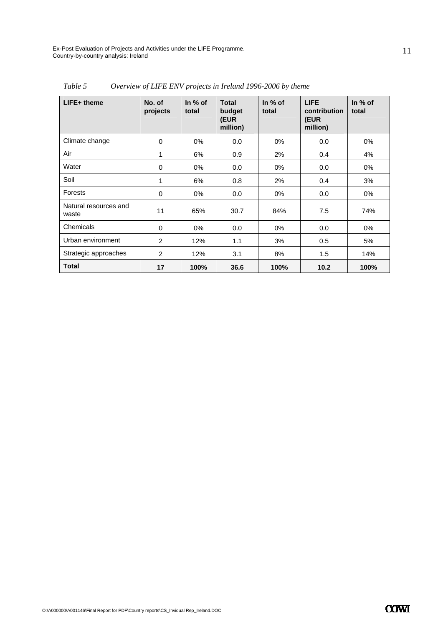Ex-Post Evaluation of Projects and Activities under the LIFE Programme. Country-by-country analysis: Ireland

| $LIFE+$ theme                  | No. of<br>projects | In $%$ of<br>total | Total<br>budget<br>(EUR<br>million) | In $%$ of<br>total | <b>LIFE</b><br>contribution<br>(EUR<br>million) | In % of<br>total |
|--------------------------------|--------------------|--------------------|-------------------------------------|--------------------|-------------------------------------------------|------------------|
| Climate change                 | 0                  | $0\%$              | 0.0                                 | $0\%$              | 0.0                                             | 0%               |
| Air                            | 1                  | 6%                 | 0.9                                 | 2%                 | 0.4                                             | 4%               |
| Water                          | 0                  | $0\%$              | 0.0                                 | $0\%$              | 0.0                                             | 0%               |
| Soil                           | 1                  | 6%                 | 0.8                                 | 2%                 | 0.4                                             | 3%               |
| <b>Forests</b>                 | 0                  | $0\%$              | 0.0                                 | 0%                 | 0.0                                             | 0%               |
| Natural resources and<br>waste | 11                 | 65%                | 30.7                                | 84%                | 7.5                                             | 74%              |
| Chemicals                      | $\mathbf 0$        | $0\%$              | 0.0                                 | 0%                 | 0.0                                             | 0%               |
| Urban environment              | 2                  | 12%                | 1.1                                 | 3%                 | 0.5                                             | 5%               |
| Strategic approaches           | 2                  | 12%                | 3.1                                 | 8%                 | 1.5                                             | 14%              |
| <b>Total</b>                   | 17                 | 100%               | 36.6                                | 100%               | 10.2                                            | 100%             |

*Table 5 Overview of LIFE ENV projects in Ireland 1996-2006 by theme*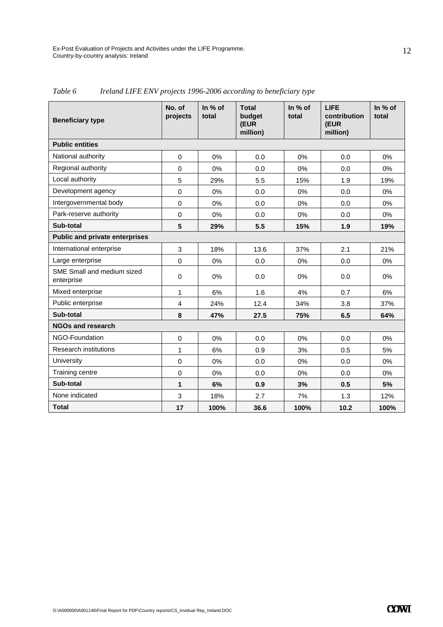| <b>Beneficiary type</b>                  | No. of<br>projects | In % of<br>total | <b>Total</b><br>budget<br>(EUR<br>million) | In % of<br>total | <b>LIFE</b><br>contribution<br>(EUR<br>million) | In % of<br>total |
|------------------------------------------|--------------------|------------------|--------------------------------------------|------------------|-------------------------------------------------|------------------|
| <b>Public entities</b>                   |                    |                  |                                            |                  |                                                 |                  |
| National authority                       | $\mathbf 0$        | 0%               | 0.0                                        | 0%               | 0.0                                             | 0%               |
| Regional authority                       | $\mathbf 0$        | 0%               | 0.0                                        | $0\%$            | 0.0                                             | 0%               |
| Local authority                          | 5                  | 29%              | 5.5                                        | 15%              | 1.9                                             | 19%              |
| Development agency                       | $\mathbf 0$        | 0%               | 0.0                                        | 0%               | 0.0                                             | 0%               |
| Intergovernmental body                   | $\Omega$           | 0%               | 0.0                                        | 0%               | 0.0                                             | $0\%$            |
| Park-reserve authority                   | $\mathbf 0$        | 0%               | 0.0                                        | 0%               | 0.0                                             | 0%               |
| Sub-total                                | 5                  | 29%              | 5.5                                        | 15%              | 1.9                                             | 19%              |
| <b>Public and private enterprises</b>    |                    |                  |                                            |                  |                                                 |                  |
| International enterprise                 | 3                  | 18%              | 13.6                                       | 37%              | 2.1                                             | 21%              |
| Large enterprise                         | $\mathbf 0$        | 0%               | 0.0                                        | 0%               | 0.0                                             | 0%               |
| SME Small and medium sized<br>enterprise | $\mathbf 0$        | 0%               | 0.0                                        | 0%               | 0.0                                             | 0%               |
| Mixed enterprise                         | 1                  | 6%               | 1.6                                        | 4%               | 0.7                                             | 6%               |
| Public enterprise                        | 4                  | 24%              | 12.4                                       | 34%              | 3.8                                             | 37%              |
| Sub-total                                | 8                  | 47%              | 27.5                                       | 75%              | 6.5                                             | 64%              |
| <b>NGOs and research</b>                 |                    |                  |                                            |                  |                                                 |                  |
| NGO-Foundation                           | $\Omega$           | 0%               | 0.0                                        | 0%               | 0.0                                             | $0\%$            |
| <b>Research institutions</b>             | $\mathbf{1}$       | 6%               | 0.9                                        | 3%               | 0.5                                             | 5%               |
| University                               | $\mathbf 0$        | 0%               | 0.0                                        | 0%               | 0.0                                             | 0%               |
| Training centre                          | $\mathbf 0$        | 0%               | 0.0                                        | 0%               | 0.0                                             | 0%               |
| Sub-total                                | 1                  | 6%               | 0.9                                        | 3%               | 0.5                                             | 5%               |
| None indicated                           | 3                  | 18%              | 2.7                                        | 7%               | 1.3                                             | 12%              |
| <b>Total</b>                             | 17                 | 100%             | 36.6                                       | 100%             | 10.2                                            | 100%             |

*Table 6 Ireland LIFE ENV projects 1996-2006 according to beneficiary type*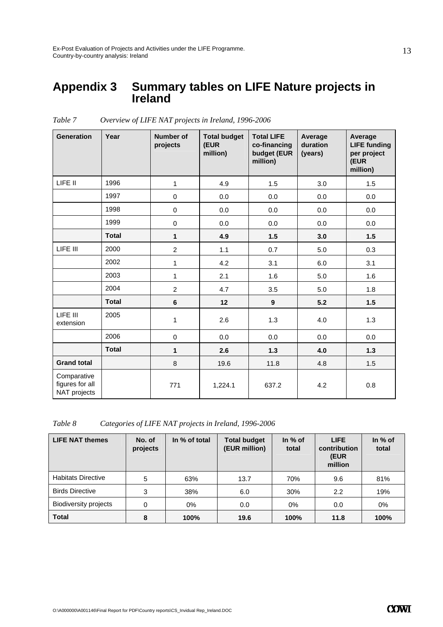#### **Appendix 3 Summary tables on LIFE Nature projects in Ireland**

| <b>Generation</b>                              | Year         | <b>Number of</b><br>projects | <b>Total budget</b><br>(EUR<br>million) | <b>Total LIFE</b><br>co-financing<br>budget (EUR<br>million) | Average<br>duration<br>(years) | Average<br><b>LIFE funding</b><br>per project<br>(EUR<br>million) |
|------------------------------------------------|--------------|------------------------------|-----------------------------------------|--------------------------------------------------------------|--------------------------------|-------------------------------------------------------------------|
| LIFE II                                        | 1996         | 1                            | 4.9                                     | 1.5                                                          | 3.0                            | 1.5                                                               |
|                                                | 1997         | $\pmb{0}$                    | 0.0                                     | 0.0                                                          | 0.0                            | 0.0                                                               |
|                                                | 1998         | $\pmb{0}$                    | 0.0                                     | 0.0                                                          | 0.0                            | 0.0                                                               |
|                                                | 1999         | 0                            | 0.0                                     | 0.0                                                          | 0.0                            | 0.0                                                               |
|                                                | <b>Total</b> | $\mathbf{1}$                 | 4.9                                     | 1.5                                                          | 3.0                            | 1.5                                                               |
| LIFE III                                       | 2000         | $\overline{2}$               | 1.1                                     | 0.7                                                          | 5.0                            | 0.3                                                               |
|                                                | 2002         | $\mathbf{1}$                 | 4.2                                     | 3.1                                                          | 6.0                            | 3.1                                                               |
|                                                | 2003         | 1                            | 2.1                                     | 1.6                                                          | 5.0                            | 1.6                                                               |
|                                                | 2004         | $\overline{2}$               | 4.7                                     | 3.5                                                          | 5.0                            | 1.8                                                               |
|                                                | <b>Total</b> | $\bf 6$                      | 12                                      | 9                                                            | 5.2                            | 1.5                                                               |
| LIFE III<br>extension                          | 2005         | 1                            | 2.6                                     | 1.3                                                          | 4.0                            | 1.3                                                               |
|                                                | 2006         | 0                            | 0.0                                     | 0.0                                                          | 0.0                            | 0.0                                                               |
|                                                | <b>Total</b> | $\mathbf{1}$                 | 2.6                                     | $1.3$                                                        | 4.0                            | 1.3                                                               |
| <b>Grand total</b>                             |              | 8                            | 19.6                                    | 11.8                                                         | 4.8                            | 1.5                                                               |
| Comparative<br>figures for all<br>NAT projects |              | 771                          | 1,224.1                                 | 637.2                                                        | 4.2                            | 0.8                                                               |

*Table 7 Overview of LIFE NAT projects in Ireland, 1996-2006* 

*Table 8 Categories of LIFE NAT projects in Ireland, 1996-2006* 

| <b>LIFE NAT themes</b>       | No. of<br>projects | In % of total | <b>Total budget</b><br>(EUR million) | In % of<br>total | <b>LIFE</b><br>contribution<br>(EUR<br>million | In $%$ of<br>total |
|------------------------------|--------------------|---------------|--------------------------------------|------------------|------------------------------------------------|--------------------|
| <b>Habitats Directive</b>    | 5                  | 63%           | 13.7                                 | 70%              | 9.6                                            | 81%                |
| <b>Birds Directive</b>       | 3                  | 38%           | 6.0                                  | 30%              | 2.2                                            | 19%                |
| <b>Biodiversity projects</b> | 0                  | $0\%$         | 0.0                                  | 0%               | 0.0                                            | $0\%$              |
| <b>Total</b>                 | 8                  | 100%          | 19.6                                 | 100%             | 11.8                                           | 100%               |

13